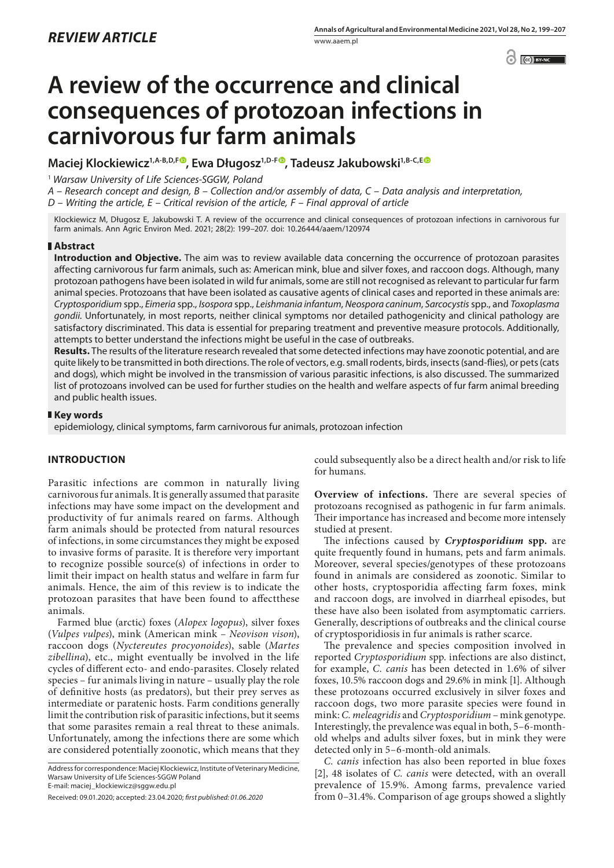$\bigcirc$   $\bigcirc$   $\bigcirc$  BY-NC  $\bigcirc$ 

# **A review of the occurrence and clinical consequences of protozoan infections in carnivorous fur farm animals**

Maciej Klockiewicz<sup>1[,](https://orcid.org/0000-0002-0219-7578)A-B,D,F<sup>®</sup>, Ewa Długosz<sup>1,D-F®</sup>, Tadeusz Jakubowski<sup>1,B-C,E®</sup></sup>

<sup>1</sup> *Warsaw University of Life Sciences-SGGW, Poland*

*A – Research concept and design, B – Collection and/or assembly of data, C – Data analysis and interpretation,* 

*D – Writing the article, E – Critical revision of the article, F – Final approval of article*

Klockiewicz M, Długosz E, Jakubowski T. A review of the occurrence and clinical consequences of protozoan infections in carnivorous fur farm animals. Ann Agric Environ Med. 2021; 28(2): 199–207. doi: 10.26444/aaem/120974

## **Abstract**

**Introduction and Objective.** The aim was to review available data concerning the occurrence of protozoan parasites affecting carnivorous fur farm animals, such as: American mink, blue and silver foxes, and raccoon dogs. Although, many protozoan pathogens have been isolated in wild fur animals, some are still not recognised as relevant to particular fur farm animal species. Protozoans that have been isolated as causative agents of clinical cases and reported in these animals are: *Cryptosporidium* spp., *Eimeria* spp., *Isospora* spp., *Leishmania infantum*, *Neospora caninum*, *Sarcocystis* spp., and *Toxoplasma gondii*. Unfortunately, in most reports, neither clinical symptoms nor detailed pathogenicity and clinical pathology are satisfactory discriminated. This data is essential for preparing treatment and preventive measure protocols. Additionally, attempts to better understand the infections might be useful in the case of outbreaks.

**Results.** The results of the literature research revealed that some detected infections may have zoonotic potential, and are quite likely to be transmitted in both directions. The role of vectors, e.g. small rodents, birds, insects (sand-flies), or pets (cats and dogs), which might be involved in the transmission of various parasitic infections, is also discussed. The summarized list of protozoans involved can be used for further studies on the health and welfare aspects of fur farm animal breeding and public health issues.

## **Key words**

epidemiology, clinical symptoms, farm carnivorous fur animals, protozoan infection

## **INTRODUCTION**

Parasitic infections are common in naturally living carnivorous fur animals. It is generally assumed that parasite infections may have some impact on the development and productivity of fur animals reared on farms. Although farm animals should be protected from natural resources of infections, in some circumstances they might be exposed to invasive forms of parasite. It is therefore very important to recognize possible source(s) of infections in order to limit their impact on health status and welfare in farm fur animals. Hence, the aim of this review is to indicate the protozoan parasites that have been found to affectthese animals.

Farmed blue (arctic) foxes (*Alopex logopus*), silver foxes (*Vulpes vulpes*), mink (American mink – *Neovison vison*), raccoon dogs (*Nyctereutes procyonoides*), sable (*Martes zibellina*), etc., might eventually be involved in the life cycles of different ecto- and endo-parasites. Closely related species – fur animals living in nature – usually play the role of definitive hosts (as predators), but their prey serves as intermediate or paratenic hosts. Farm conditions generally limit the contribution risk of parasitic infections, but it seems that some parasites remain a real threat to these animals. Unfortunately, among the infections there are some which are considered potentially zoonotic, which means that they

Address for correspondence: Maciej Klockiewicz, Institute of Veterinary Medicine, Warsaw University of Life Sciences-SGGW Poland E-mail: maciej\_klockiewicz@sggw.edu.pl

could subsequently also be a direct health and/or risk to life for humans.

**Overview of infections.** There are several species of protozoans recognised as pathogenic in fur farm animals. Their importance has increased and become more intensely studied at present.

The infections caused by *Cryptosporidium* **spp.** are quite frequently found in humans, pets and farm animals. Moreover, several species/genotypes of these protozoans found in animals are considered as zoonotic. Similar to other hosts, cryptosporidia affecting farm foxes, mink and raccoon dogs, are involved in diarrheal episodes, but these have also been isolated from asymptomatic carriers. Generally, descriptions of outbreaks and the clinical course of cryptosporidiosis in fur animals is rather scarce.

The prevalence and species composition involved in reported *Cryptosporidium* spp. infections are also distinct, for example, *C. canis* has been detected in 1.6% of silver foxes, 10.5% raccoon dogs and 29.6% in mink [1]. Although these protozoans occurred exclusively in silver foxes and raccoon dogs, two more parasite species were found in mink: *C. meleagridis* and *Cryptosporidium* – mink genotype. Interestingly, the prevalence was equal in both, 5–6-monthold whelps and adults silver foxes, but in mink they were detected only in 5–6-month-old animals.

*C. canis* infection has also been reported in blue foxes [2], 48 isolates of *C. canis* were detected, with an overall prevalence of 15.9%. Among farms, prevalence varied from 0–31.4%. Comparison of age groups showed a slightly

Received: 09.01.2020; accepted: 23.04.2020; *first published: 01.06.2020*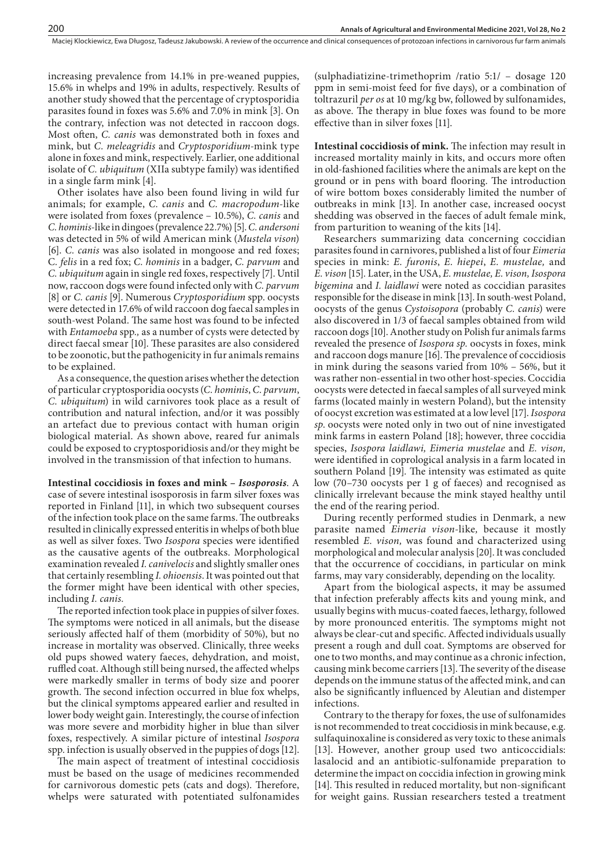Maciej Klockiewicz, Ewa Długosz, Tadeusz Jakubowski. A review of the occurrence and clinical consequences of protozoan infections in carnivorous fur farm animals

increasing prevalence from 14.1% in pre-weaned puppies, 15.6% in whelps and 19% in adults, respectively. Results of another study showed that the percentage of cryptosporidia parasites found in foxes was 5.6% and 7.0% in mink [3]. On the contrary, infection was not detected in raccoon dogs. Most often, *C. canis* was demonstrated both in foxes and mink, but *C. meleagridis* and *Cryptosporidium*-mink type alone in foxes and mink, respectively. Earlier, one additional isolate of *C. ubiquitum* (XIIa subtype family) was identified in a single farm mink [4].

Other isolates have also been found living in wild fur animals; for example, *C. canis* and *C. macropodum*-like were isolated from foxes (prevalence – 10.5%), *C. canis* and *C. hominis*-like in dingoes (prevalence 22.7%) [5]. *C. andersoni* was detected in 5% of wild American mink (*Mustela vison*) [6]. *C. canis* was also isolated in mongoose and red foxes; C*. felis* in a red fox; *C. hominis* in a badger, *C. parvum* and *C. ubiquitum* again in single red foxes, respectively [7]. Until now, raccoon dogs were found infected only with *C. parvum*  [8] or *C. canis* [9]. Numerous *Cryptosporidium* spp. oocysts were detected in 17.6% of wild raccoon dog faecal samples in south-west Poland. The same host was found to be infected with *Entamoeba* spp*.,* as a number of cysts were detected by direct faecal smear [10]. These parasites are also considered to be zoonotic, but the pathogenicity in fur animals remains to be explained.

As a consequence, the question arises whether the detection of particular cryptosporidia oocysts (*C. hominis*, *C. parvum*, *C. ubiquitum*) in wild carnivores took place as a result of contribution and natural infection, and/or it was possibly an artefact due to previous contact with human origin biological material. As shown above, reared fur animals could be exposed to cryptosporidiosis and/or they might be involved in the transmission of that infection to humans.

**Intestinal coccidiosis in foxes and mink –** *Isosporosis*. A case of severe intestinal isosporosis in farm silver foxes was reported in Finland [11], in which two subsequent courses of the infection took place on the same farms. The outbreaks resulted in clinically expressed enteritis in whelps of both blue as well as silver foxes. Two *Isospora* species were identified as the causative agents of the outbreaks. Morphological examination revealed *I. canivelocis* and slightly smaller ones that certainly resembling *I. ohioensis*. It was pointed out that the former might have been identical with other species, including *I. canis.*

The reported infection took place in puppies of silver foxes. The symptoms were noticed in all animals, but the disease seriously affected half of them (morbidity of 50%), but no increase in mortality was observed. Clinically, three weeks old pups showed watery faeces, dehydration, and moist, ruffled coat. Although still being nursed, the affected whelps were markedly smaller in terms of body size and poorer growth. The second infection occurred in blue fox whelps, but the clinical symptoms appeared earlier and resulted in lower body weight gain. Interestingly, the course of infection was more severe and morbidity higher in blue than silver foxes, respectively. A similar picture of intestinal *Isospora*  spp*.* infection is usually observed in the puppies of dogs [12].

The main aspect of treatment of intestinal coccidiosis must be based on the usage of medicines recommended for carnivorous domestic pets (cats and dogs). Therefore, whelps were saturated with potentiated sulfonamides

(sulphadiatizine-trimethoprim /ratio 5:1/ – dosage 120 ppm in semi-moist feed for five days), or a combination of toltrazuril *per os* at 10 mg/kg bw, followed by sulfonamides, as above. The therapy in blue foxes was found to be more effective than in silver foxes [11].

**Intestinal coccidiosis of mink.** The infection may result in increased mortality mainly in kits, and occurs more often in old-fashioned facilities where the animals are kept on the ground or in pens with board flooring. The introduction of wire bottom boxes considerably limited the number of outbreaks in mink [13]. In another case, increased oocyst shedding was observed in the faeces of adult female mink, from parturition to weaning of the kits [14].

Researchers summarizing data concerning coccidian parasites found in carnivores, published a list of four *Eimeria* species in mink: *E. furonis*, *E. hiepei*, *E. mustelae,* and *E. vison* [15]*.* Later, in the USA, *E. mustelae, E. vison, Isospora bigemina* and *I. laidlawi* were noted as coccidian parasites responsible for the disease in mink [13]. In south-west Poland, oocysts of the genus *Cystoisopora* (probably *C. canis*) were also discovered in 1/3 of faecal samples obtained from wild raccoon dogs [10]. Another study on Polish fur animals farms revealed the presence of *Isospora sp.* oocysts in foxes, mink and raccoon dogs manure [16]. The prevalence of coccidiosis in mink during the seasons varied from 10% – 56%, but it was rather non-essential in two other host-species. Coccidia oocysts were detected in faecal samples of all surveyed mink farms (located mainly in western Poland), but the intensity of oocyst excretion was estimated at a low level [17]. *Isospora sp*. oocysts were noted only in two out of nine investigated mink farms in eastern Poland [18]; however, three coccidia species, *Isospora laidlawi, Eimeria mustelae* and *E. vison,* were identified in coprological analysis in a farm located in southern Poland [19]*.* The intensity was estimated as quite low (70-730 oocysts per 1 g of faeces) and recognised as clinically irrelevant because the mink stayed healthy until the end of the rearing period.

During recently performed studies in Denmark, a new parasite named *Eimeria vison-*like*,* because it mostly resembled *E. vison,* was found and characterized using morphological and molecular analysis [20]. It was concluded that the occurrence of coccidians, in particular on mink farms, may vary considerably, depending on the locality.

Apart from the biological aspects, it may be assumed that infection preferably affects kits and young mink, and usually begins with mucus-coated faeces, lethargy, followed by more pronounced enteritis. The symptoms might not always be clear-cut and specific. Affected individuals usually present a rough and dull coat. Symptoms are observed for one to two months, and may continue as a chronic infection, causing mink become carriers [13]. The severity of the disease depends on the immune status of the affected mink, and can also be significantly influenced by Aleutian and distemper infections.

Contrary to the therapy for foxes, the use of sulfonamides is not recommended to treat coccidiosis in mink because, e.g. sulfaquinoxaline is considered as very toxic to these animals [13]. However, another group used two anticoccidials: lasalocid and an antibiotic-sulfonamide preparation to determine the impact on coccidia infection in growing mink [14]. This resulted in reduced mortality, but non-significant for weight gains. Russian researchers tested a treatment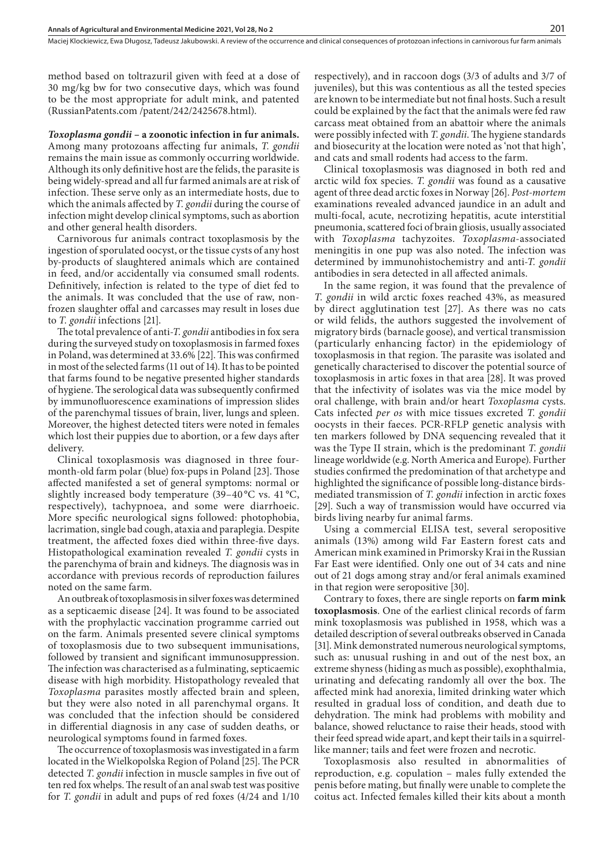method based on toltrazuril given with feed at a dose of 30 mg/kg bw for two consecutive days, which was found to be the most appropriate for adult mink, and patented (RussianPatents.com /patent/242/2425678.html).

*Toxoplasma gondii* **– a zoonotic infection in fur animals.** Among many protozoans affecting fur animals, *T. gondii* remains the main issue as commonly occurring worldwide. Although its only definitive host are the felids, the parasite is being widely-spread and all fur farmed animals are at risk of infection. These serve only as an intermediate hosts, due to which the animals affected by *T. gondii* during the course of infection might develop clinical symptoms, such as abortion and other general health disorders.

Carnivorous fur animals contract toxoplasmosis by the ingestion of sporulated oocyst, or the tissue cysts of any host by-products of slaughtered animals which are contained in feed, and/or accidentally via consumed small rodents. Definitively, infection is related to the type of diet fed to the animals. It was concluded that the use of raw, nonfrozen slaughter offal and carcasses may result in loses due to *T. gondii* infections [21].

The total prevalence of anti-*T. gondii* antibodies in fox sera during the surveyed study on toxoplasmosis in farmed foxes in Poland, was determined at 33.6% [22]. This was confirmed in most of the selected farms (11 out of 14). It has to be pointed that farms found to be negative presented higher standards of hygiene. The serological data was subsequently confirmed by immunofluorescence examinations of impression slides of the parenchymal tissues of brain, liver, lungs and spleen. Moreover, the highest detected titers were noted in females which lost their puppies due to abortion, or a few days after delivery.

Clinical toxoplasmosis was diagnosed in three fourmonth-old farm polar (blue) fox-pups in Poland [23]. Those affected manifested a set of general symptoms: normal or slightly increased body temperature (39–40 °C vs. 41 °C, respectively), tachypnoea, and some were diarrhoeic. More specific neurological signs followed: photophobia, lacrimation, single bad cough, ataxia and paraplegia. Despite treatment, the affected foxes died within three-five days. Histopathological examination revealed *T. gondii* cysts in the parenchyma of brain and kidneys. The diagnosis was in accordance with previous records of reproduction failures noted on the same farm.

An outbreak of toxoplasmosis in silver foxes was determined as a septicaemic disease [24]. It was found to be associated with the prophylactic vaccination programme carried out on the farm. Animals presented severe clinical symptoms of toxoplasmosis due to two subsequent immunisations, followed by transient and significant immunosuppression. The infection was characterised as a fulminating, septicaemic disease with high morbidity. Histopathology revealed that *Toxoplasma* parasites mostly affected brain and spleen, but they were also noted in all parenchymal organs. It was concluded that the infection should be considered in differential diagnosis in any case of sudden deaths, or neurological symptoms found in farmed foxes.

The occurrence of toxoplasmosis was investigated in a farm located in the Wielkopolska Region of Poland [25]. The PCR detected *T. gondii* infection in muscle samples in five out of ten red fox whelps. The result of an anal swab test was positive for *T. gondii* in adult and pups of red foxes (4/24 and 1/10

respectively), and in raccoon dogs (3/3 of adults and 3/7 of juveniles), but this was contentious as all the tested species are known to be intermediate but not final hosts. Such a result could be explained by the fact that the animals were fed raw carcass meat obtained from an abattoir where the animals were possibly infected with *T. gondii*. The hygiene standards and biosecurity at the location were noted as 'not that high', and cats and small rodents had access to the farm.

Clinical toxoplasmosis was diagnosed in both red and arctic wild fox species. *T. gondii* was found as a causative agent of three dead arctic foxes in Norway [26]. *Post-mortem* examinations revealed advanced jaundice in an adult and multi-focal, acute, necrotizing hepatitis, acute interstitial pneumonia, scattered foci of brain gliosis, usually associated with *Toxoplasma* tachyzoites. *Toxoplasma*-associated meningitis in one pup was also noted. The infection was determined by immunohistochemistry and anti-*T. gondii* antibodies in sera detected in all affected animals.

In the same region, it was found that the prevalence of *T. gondii* in wild arctic foxes reached 43%, as measured by direct agglutination test [27]. As there was no cats or wild felids, the authors suggested the involvement of migratory birds (barnacle goose), and vertical transmission (particularly enhancing factor) in the epidemiology of toxoplasmosis in that region. The parasite was isolated and genetically characterised to discover the potential source of toxoplasmosis in artic foxes in that area [28]. It was proved that the infectivity of isolates was via the mice model by oral challenge, with brain and/or heart *Toxoplasma* cysts. Cats infected *per os* with mice tissues excreted *T. gondii* oocysts in their faeces. PCR-RFLP genetic analysis with ten markers followed by DNA sequencing revealed that it was the Type II strain, which is the predominant *T. gondii* lineage worldwide (e.g. North America and Europe). Further studies confirmed the predomination of that archetype and highlighted the significance of possible long-distance birdsmediated transmission of *T. gondii* infection in arctic foxes [29]. Such a way of transmission would have occurred via birds living nearby fur animal farms.

Using a commercial ELISA test, several seropositive animals (13%) among wild Far Eastern forest cats and American mink examined in Primorsky Krai in the Russian Far East were identified. Only one out of 34 cats and nine out of 21 dogs among stray and/or feral animals examined in that region were seropositive [30].

Contrary to foxes, there are single reports on **farm mink toxoplasmosis**. One of the earliest clinical records of farm mink toxoplasmosis was published in 1958, which was a detailed description of several outbreaks observed in Canada [31]. Mink demonstrated numerous neurological symptoms, such as: unusual rushing in and out of the nest box, an extreme shyness (hiding as much as possible), exophthalmia, urinating and defecating randomly all over the box. The affected mink had anorexia, limited drinking water which resulted in gradual loss of condition, and death due to dehydration. The mink had problems with mobility and balance, showed reluctance to raise their heads, stood with their feed spread wide apart, and kept their tails in a squirrellike manner; tails and feet were frozen and necrotic.

Toxoplasmosis also resulted in abnormalities of reproduction, e.g. copulation – males fully extended the penis before mating, but finally were unable to complete the coitus act. Infected females killed their kits about a month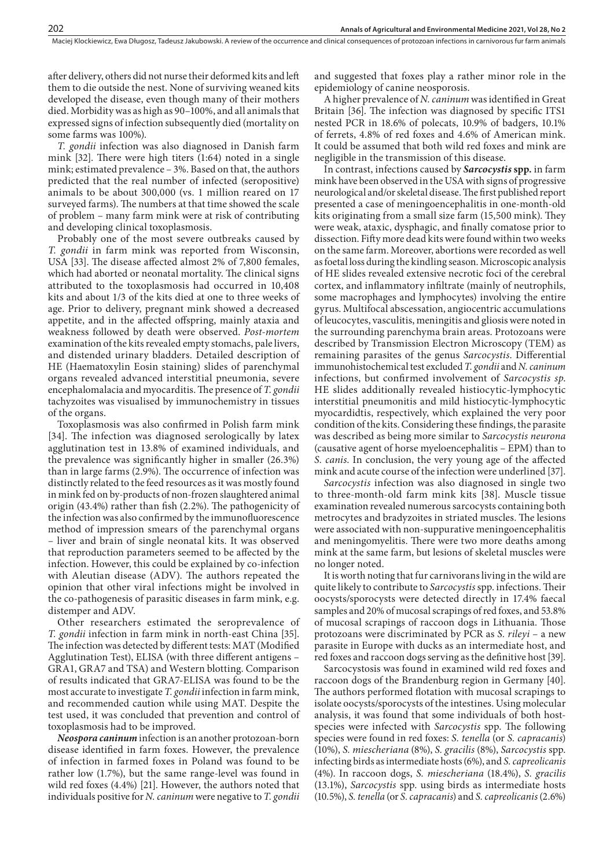after delivery, others did not nurse their deformed kits and left them to die outside the nest. None of surviving weaned kits developed the disease, even though many of their mothers died. Morbidity was as high as 90–100%, and all animals that expressed signs of infection subsequently died (mortality on some farms was 100%).

*T. gondii* infection was also diagnosed in Danish farm mink [32]. There were high titers (1:64) noted in a single mink; estimated prevalence – 3%. Based on that, the authors predicted that the real number of infected (seropositive) animals to be about 300,000 (vs. 1 million reared on 17 surveyed farms). The numbers at that time showed the scale of problem – many farm mink were at risk of contributing and developing clinical toxoplasmosis.

Probably one of the most severe outbreaks caused by *T. gondii* in farm mink was reported from Wisconsin, USA [33]. The disease affected almost 2% of 7,800 females, which had aborted or neonatal mortality. The clinical signs attributed to the toxoplasmosis had occurred in 10,408 kits and about 1/3 of the kits died at one to three weeks of age. Prior to delivery, pregnant mink showed a decreased appetite, and in the affected offspring, mainly ataxia and weakness followed by death were observed. *Post-mortem* examination of the kits revealed empty stomachs, pale livers, and distended urinary bladders. Detailed description of HE (Haematoxylin Eosin staining) slides of parenchymal organs revealed advanced interstitial pneumonia, severe encephalomalacia and myocarditis. The presence of *T. gondii* tachyzoites was visualised by immunochemistry in tissues of the organs.

Toxoplasmosis was also confirmed in Polish farm mink [34]. The infection was diagnosed serologically by latex agglutination test in 13.8% of examined individuals, and the prevalence was significantly higher in smaller (26.3%) than in large farms (2.9%). The occurrence of infection was distinctly related to the feed resources as it was mostly found in mink fed on by-products of non-frozen slaughtered animal origin (43.4%) rather than fish (2.2%). The pathogenicity of the infection was also confirmed by the immunofluorescence method of impression smears of the parenchymal organs – liver and brain of single neonatal kits. It was observed that reproduction parameters seemed to be affected by the infection. However, this could be explained by co-infection with Aleutian disease (ADV). The authors repeated the opinion that other viral infections might be involved in the co-pathogenesis of parasitic diseases in farm mink, e.g. distemper and ADV.

Other researchers estimated the seroprevalence of *T. gondii* infection in farm mink in north-east China [35]. The infection was detected by different tests: MAT (Modified Agglutination Test), ELISA (with three different antigens – GRA1, GRA7 and TSA) and Western blotting. Comparison of results indicated that GRA7-ELISA was found to be the most accurate to investigate *T. gondii* infection in farm mink, and recommended caution while using MAT. Despite the test used, it was concluded that prevention and control of toxoplasmosis had to be improved.

*Neospora caninum* infection is an another protozoan-born disease identified in farm foxes. However, the prevalence of infection in farmed foxes in Poland was found to be rather low (1.7%), but the same range-level was found in wild red foxes (4.4%) [21]. However, the authors noted that individuals positive for *N. caninum* were negative to *T. gondii*  and suggested that foxes play a rather minor role in the epidemiology of canine neosporosis.

A higher prevalence of *N. caninum* was identified in Great Britain [36]. The infection was diagnosed by specific ITS1 nested PCR in 18.6% of polecats, 10.9% of badgers, 10.1% of ferrets, 4.8% of red foxes and 4.6% of American mink. It could be assumed that both wild red foxes and mink are negligible in the transmission of this disease.

In contrast, infections caused by *Sarcocystis* **spp.** in farm mink have been observed in the USA with signs of progressive neurological and/or skeletal disease. The first published report presented a case of meningoencephalitis in one-month-old kits originating from a small size farm (15,500 mink). They were weak, ataxic, dysphagic, and finally comatose prior to dissection. Fifty more dead kits were found within two weeks on the same farm. Moreover, abortions were recorded as well as foetal loss during the kindling season. Microscopic analysis of HE slides revealed extensive necrotic foci of the cerebral cortex, and inflammatory infiltrate (mainly of neutrophils, some macrophages and lymphocytes) involving the entire gyrus. Multifocal abscessation, angiocentric accumulations of leucocytes, vasculitis, meningitis and gliosis were noted in the surrounding parenchyma brain areas. Protozoans were described by Transmission Electron Microscopy (TEM) as remaining parasites of the genus *Sarcocystis*. Differential immunohistochemical test excluded *T. gondii* and *N. caninum* infections, but confirmed involvement of *Sarcocystis sp*. HE slides additionally revealed histiocytic-lymphocytic interstitial pneumonitis and mild histiocytic-lymphocytic myocardidtis, respectively, which explained the very poor condition of the kits. Considering these findings, the parasite was described as being more similar to *Sarcocystis neurona* (causative agent of horse myeloencephalitis – EPM) than to *S. canis*. In conclusion, the very young age of the affected mink and acute course of the infection were underlined [37].

*Sarcocystis* infection was also diagnosed in single two to three-month-old farm mink kits [38]. Muscle tissue examination revealed numerous sarcocysts containing both metrocytes and bradyzoites in striated muscles. The lesions were associated with non-suppurative meningoencephalitis and meningomyelitis. There were two more deaths among mink at the same farm, but lesions of skeletal muscles were no longer noted.

It is worth noting that fur carnivorans living in the wild are quite likely to contribute to *Sarcocystis* spp. infections. Their oocysts/sporocysts were detected directly in 17.4% faecal samples and 20% of mucosal scrapings of red foxes, and 53.8% of mucosal scrapings of raccoon dogs in Lithuania. Those protozoans were discriminated by PCR as *S. rileyi* – a new parasite in Europe with ducks as an intermediate host, and red foxes and raccoon dogs serving as the definitive host [39].

Sarcocystosis was found in examined wild red foxes and raccoon dogs of the Brandenburg region in Germany [40]. The authors performed flotation with mucosal scrapings to isolate oocysts/sporocysts of the intestines. Using molecular analysis, it was found that some individuals of both hostspecies were infected with *Sarcocystis* spp. The following species were found in red foxes: *S. tenella* (or *S. capracanis*) (10%), *S. miescheriana* (8%), *S. gracilis* (8%), *Sarcocystis* spp. infecting birds as intermediate hosts (6%), and *S. capreolicanis* (4%). In raccoon dogs, *S. miescheriana* (18.4%), *S. gracilis* (13.1%), *Sarcocystis* spp. using birds as intermediate hosts (10.5%), *S. tenella* (or *S. capracanis*) and *S. capreolicanis* (2.6%)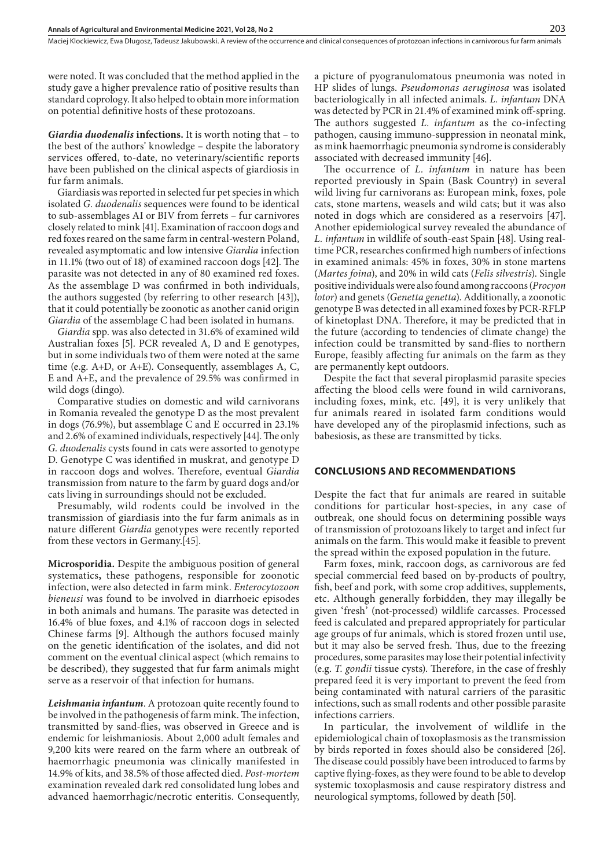were noted. It was concluded that the method applied in the study gave a higher prevalence ratio of positive results than standard coprology. It also helped to obtain more information on potential definitive hosts of these protozoans.

*Giardia duodenalis* **infections.** It is worth noting that – to the best of the authors' knowledge – despite the laboratory services offered, to-date, no veterinary/scientific reports have been published on the clinical aspects of giardiosis in fur farm animals.

Giardiasis was reported in selected fur pet species in which isolated *G. duodenalis* sequences were found to be identical to sub-assemblages AI or BIV from ferrets – fur carnivores closely related to mink [41]. Examination of raccoon dogs and red foxes reared on the same farm in central-western Poland, revealed asymptomatic and low intensive *Giardia* infection in 11.1% (two out of 18) of examined raccoon dogs [42]. The parasite was not detected in any of 80 examined red foxes. As the assemblage D was confirmed in both individuals, the authors suggested (by referring to other research [43]), that it could potentially be zoonotic as another canid origin *Giardia* of the assemblage C had been isolated in humans.

*Giardia* spp. was also detected in 31.6% of examined wild Australian foxes [5]. PCR revealed A, D and E genotypes, but in some individuals two of them were noted at the same time (e.g. A+D, or A+E). Consequently, assemblages A, C, E and A+E, and the prevalence of 29.5% was confirmed in wild dogs (dingo).

Comparative studies on domestic and wild carnivorans in Romania revealed the genotype D as the most prevalent in dogs (76.9%), but assemblage C and E occurred in 23.1% and 2.6% of examined individuals, respectively [44]. The only *G. duodenalis* cysts found in cats were assorted to genotype D. Genotype C was identified in muskrat, and genotype D in raccoon dogs and wolves. Therefore, eventual *Giardia* transmission from nature to the farm by guard dogs and/or cats living in surroundings should not be excluded.

Presumably, wild rodents could be involved in the transmission of giardiasis into the fur farm animals as in nature different *Giardia* genotypes were recently reported from these vectors in Germany.[45].

**Microsporidia.** Despite the ambiguous position of general systematics**,** these pathogens, responsible for zoonotic infection, were also detected in farm mink. *Enterocytozoon bieneusi* was found to be involved in diarrhoeic episodes in both animals and humans. The parasite was detected in 16.4% of blue foxes, and 4.1% of raccoon dogs in selected Chinese farms [9]. Although the authors focused mainly on the genetic identification of the isolates, and did not comment on the eventual clinical aspect (which remains to be described), they suggested that fur farm animals might serve as a reservoir of that infection for humans.

*Leishmania infantum*. A protozoan quite recently found to be involved in the pathogenesis of farm mink. The infection, transmitted by sand-flies, was observed in Greece and is endemic for leishmaniosis. About 2,000 adult females and 9,200 kits were reared on the farm where an outbreak of haemorrhagic pneumonia was clinically manifested in 14.9% of kits, and 38.5% of those affected died. *Post-mortem* examination revealed dark red consolidated lung lobes and advanced haemorrhagic/necrotic enteritis. Consequently,

a picture of pyogranulomatous pneumonia was noted in HP slides of lungs. *Pseudomonas aeruginosa* was isolated bacteriologically in all infected animals. *L. infantum* DNA was detected by PCR in 21.4% of examined mink off-spring. The authors suggested *L. infantum* as the co-infecting pathogen, causing immuno-suppression in neonatal mink, as mink haemorrhagic pneumonia syndrome is considerably associated with decreased immunity [46].

The occurrence of *L. infantum* in nature has been reported previously in Spain (Bask Country) in several wild living fur carnivorans as: European mink, foxes, pole cats, stone martens, weasels and wild cats; but it was also noted in dogs which are considered as a reservoirs [47]. Another epidemiological survey revealed the abundance of *L. infantum* in wildlife of south-east Spain [48]. Using realtime PCR, researches confirmed high numbers of infections in examined animals: 45% in foxes, 30% in stone martens (*Martes foina*), and 20% in wild cats (*Felis silvestris*). Single positive individuals were also found among raccoons (*Procyon lotor*) and genets (*Genetta genetta*). Additionally, a zoonotic genotype B was detected in all examined foxes by PCR-RFLP of kinetoplast DNA. Therefore, it may be predicted that in the future (according to tendencies of climate change) the infection could be transmitted by sand-flies to northern Europe, feasibly affecting fur animals on the farm as they are permanently kept outdoors.

Despite the fact that several piroplasmid parasite species affecting the blood cells were found in wild carnivorans, including foxes, mink, etc. [49], it is very unlikely that fur animals reared in isolated farm conditions would have developed any of the piroplasmid infections, such as babesiosis, as these are transmitted by ticks.

## **CONCLUSIONS AND RECOMMENDATIONS**

Despite the fact that fur animals are reared in suitable conditions for particular host-species, in any case of outbreak, one should focus on determining possible ways of transmission of protozoans likely to target and infect fur animals on the farm. This would make it feasible to prevent the spread within the exposed population in the future.

Farm foxes, mink, raccoon dogs, as carnivorous are fed special commercial feed based on by-products of poultry, fish, beef and pork, with some crop additives, supplements, etc. Although generally forbidden, they may illegally be given 'fresh' (not-processed) wildlife carcasses. Processed feed is calculated and prepared appropriately for particular age groups of fur animals, which is stored frozen until use, but it may also be served fresh. Thus, due to the freezing procedures, some parasites may lose their potential infectivity (e.g. *T. gondii* tissue cysts). Therefore, in the case of freshly prepared feed it is very important to prevent the feed from being contaminated with natural carriers of the parasitic infections, such as small rodents and other possible parasite infections carriers.

In particular, the involvement of wildlife in the epidemiological chain of toxoplasmosis as the transmission by birds reported in foxes should also be considered [26]. The disease could possibly have been introduced to farms by captive flying-foxes, as they were found to be able to develop systemic toxoplasmosis and cause respiratory distress and neurological symptoms, followed by death [50].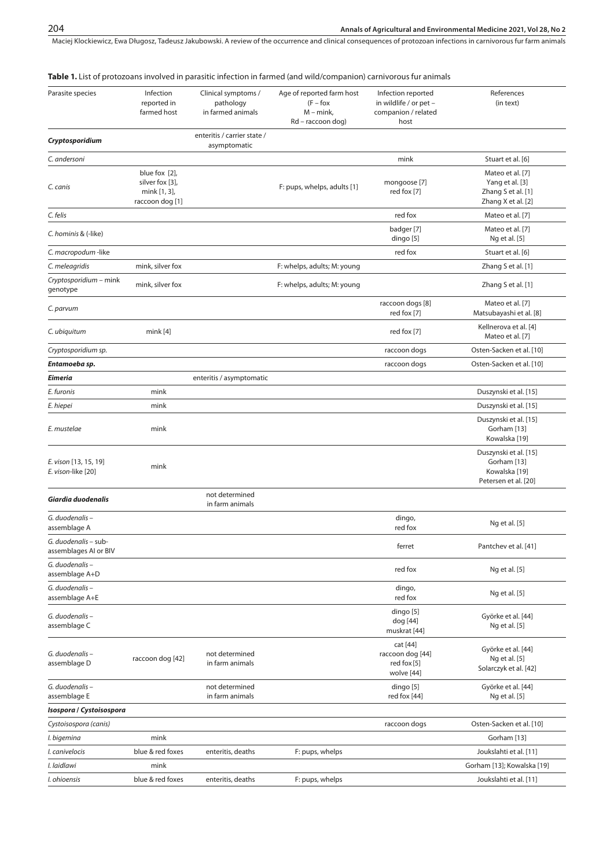Maciej Klockiewicz, Ewa Długosz, Tadeusz Jakubowski. A review of the occurrence and clinical consequences of protozoan infections in carnivorous fur farm animals

|                                               |                                                                     |                                                       | Table 1. List of protozoans involved in parasitic infection in farmed (and wild/companion) carnivorous fur animals |                                                                             |                                                                                 |
|-----------------------------------------------|---------------------------------------------------------------------|-------------------------------------------------------|--------------------------------------------------------------------------------------------------------------------|-----------------------------------------------------------------------------|---------------------------------------------------------------------------------|
| Parasite species                              | Infection<br>reported in<br>farmed host                             | Clinical symptoms /<br>pathology<br>in farmed animals | Age of reported farm host<br>$(F - f$ ox<br>$M - mink$ ,<br>Rd - raccoon dog)                                      | Infection reported<br>in wildlife / or pet -<br>companion / related<br>host | References<br>(in text)                                                         |
| Cryptosporidium                               |                                                                     | enteritis / carrier state /<br>asymptomatic           |                                                                                                                    |                                                                             |                                                                                 |
| C. andersoni                                  |                                                                     |                                                       |                                                                                                                    | mink                                                                        | Stuart et al. [6]                                                               |
| C. canis                                      | blue fox [2],<br>silver fox [3],<br>mink [1, 3],<br>raccoon dog [1] |                                                       | F: pups, whelps, adults [1]                                                                                        | mongoose [7]<br>red fox [7]                                                 | Mateo et al. [7]<br>Yang et al. [3]<br>Zhang S et al. [1]<br>Zhang X et al. [2] |
| C. felis                                      |                                                                     |                                                       |                                                                                                                    | red fox                                                                     | Mateo et al. [7]                                                                |
| C. hominis & (-like)                          |                                                                     |                                                       |                                                                                                                    | badger [7]<br>dingo [5]                                                     | Mateo et al. [7]<br>Ng et al. [5]                                               |
| C. macropodum -like                           |                                                                     |                                                       |                                                                                                                    | red fox                                                                     | Stuart et al. [6]                                                               |
| C. meleagridis                                | mink, silver fox                                                    |                                                       | F: whelps, adults; M: young                                                                                        |                                                                             | Zhang S et al. [1]                                                              |
| Cryptosporidium - mink<br>genotype            | mink, silver fox                                                    |                                                       | F: whelps, adults; M: young                                                                                        |                                                                             | Zhang S et al. [1]                                                              |
| C. parvum                                     |                                                                     |                                                       |                                                                                                                    | raccoon dogs [8]<br>red fox [7]                                             | Mateo et al. [7]<br>Matsubayashi et al. [8]                                     |
| C. ubiquitum                                  | mink[4]                                                             |                                                       |                                                                                                                    | red fox [7]                                                                 | Kellnerova et al. [4]<br>Mateo et al. [7]                                       |
| Cryptosporidium sp.                           |                                                                     |                                                       |                                                                                                                    | raccoon dogs                                                                | Osten-Sacken et al. [10]                                                        |
| Entamoeba sp.                                 |                                                                     |                                                       |                                                                                                                    | raccoon dogs                                                                | Osten-Sacken et al. [10]                                                        |
| Eimeria                                       |                                                                     | enteritis / asymptomatic                              |                                                                                                                    |                                                                             |                                                                                 |
| E. furonis                                    | mink                                                                |                                                       |                                                                                                                    |                                                                             | Duszynski et al. [15]                                                           |
| E. hiepei                                     | mink                                                                |                                                       |                                                                                                                    |                                                                             | Duszynski et al. [15]                                                           |
| E. mustelae                                   | mink                                                                |                                                       |                                                                                                                    |                                                                             | Duszynski et al. [15]<br>Gorham [13]<br>Kowalska [19]                           |
| E. vison [13, 15, 19]<br>E. vison-like [20]   | mink                                                                |                                                       |                                                                                                                    |                                                                             | Duszynski et al. [15]<br>Gorham [13]<br>Kowalska [19]<br>Petersen et al. [20]   |
| Giardia duodenalis                            |                                                                     | not determined<br>in farm animals                     |                                                                                                                    |                                                                             |                                                                                 |
| G. duodenalis-<br>assemblage A                |                                                                     |                                                       |                                                                                                                    | dingo,<br>red fox                                                           | Ng et al. [5]                                                                   |
| G. duodenalis - sub-<br>assemblages AI or BIV |                                                                     |                                                       |                                                                                                                    | ferret                                                                      | Pantchev et al. [41]                                                            |
| G. duodenalis-<br>assemblage A+D              |                                                                     |                                                       |                                                                                                                    | red fox                                                                     | Ng et al. [5]                                                                   |
| G. duodenalis-<br>assemblage A+E              |                                                                     |                                                       |                                                                                                                    | dingo,<br>red fox                                                           | Ng et al. [5]                                                                   |
| G. duodenalis-<br>assemblage C                |                                                                     |                                                       |                                                                                                                    | dingo [5]<br>dog [44]<br>muskrat [44]                                       | Györke et al. [44]<br>Ng et al. [5]                                             |
| G. duodenalis-<br>assemblage D                | raccoon dog [42]                                                    | not determined<br>in farm animals                     |                                                                                                                    | cat [44]<br>raccoon dog [44]<br>red fox [5]<br>wolve [44]                   | Györke et al. [44]<br>Ng et al. [5]<br>Solarczyk et al. [42]                    |
| G. duodenalis-<br>assemblage E                |                                                                     | not determined<br>in farm animals                     |                                                                                                                    | dingo [5]<br>red fox [44]                                                   | Györke et al. [44]<br>Ng et al. [5]                                             |
| Isospora / Cystoisospora                      |                                                                     |                                                       |                                                                                                                    |                                                                             |                                                                                 |
| Cystoisospora (canis)                         |                                                                     |                                                       |                                                                                                                    | raccoon dogs                                                                | Osten-Sacken et al. [10]                                                        |
| I. bigemina                                   | mink                                                                |                                                       |                                                                                                                    |                                                                             | Gorham [13]                                                                     |
| I. canivelocis                                | blue & red foxes                                                    | enteritis, deaths                                     | F: pups, whelps                                                                                                    |                                                                             | Joukslahti et al. [11]                                                          |
| I. laidlawi                                   | mink                                                                |                                                       |                                                                                                                    |                                                                             | Gorham [13]; Kowalska [19]                                                      |
| I. ohioensis                                  | blue & red foxes                                                    | enteritis, deaths                                     | F: pups, whelps                                                                                                    |                                                                             | Joukslahti et al. [11]                                                          |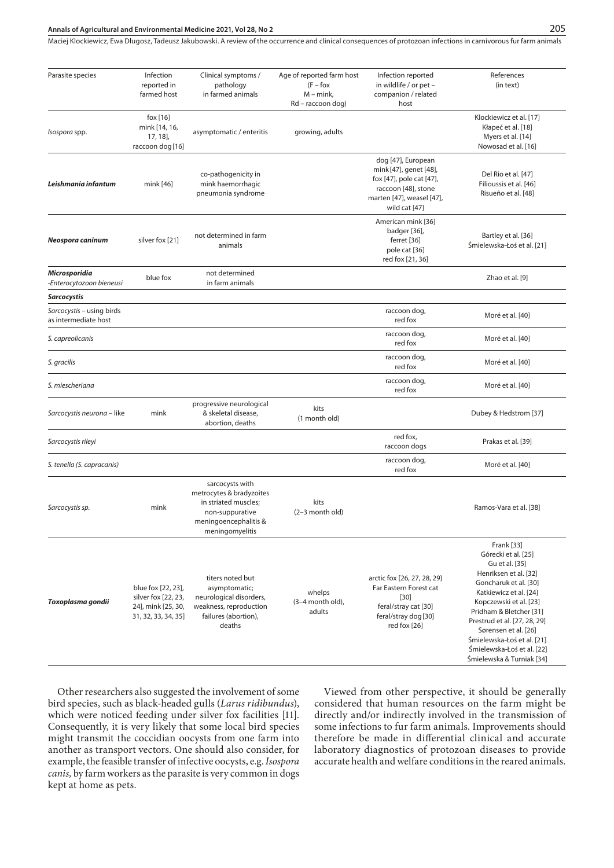### **Annals of Agricultural and Environmental Medicine 2021, Vol 28, No 2** 205

Maciej Klockiewicz, Ewa Długosz, Tadeusz Jakubowski. A review of the occurrence and clinical consequences of protozoan infections in carnivorous fur farm animals

| Parasite species                                  | Infection                                                                              | Clinical symptoms /                                                                                                                | Age of reported farm host                        | Infection reported                                                                                                                            | References                                                                                                                                                                                                                                                                                                                            |
|---------------------------------------------------|----------------------------------------------------------------------------------------|------------------------------------------------------------------------------------------------------------------------------------|--------------------------------------------------|-----------------------------------------------------------------------------------------------------------------------------------------------|---------------------------------------------------------------------------------------------------------------------------------------------------------------------------------------------------------------------------------------------------------------------------------------------------------------------------------------|
|                                                   | reported in<br>farmed host                                                             | pathology<br>in farmed animals                                                                                                     | $(F - f$ ox<br>$M - mink$ ,<br>Rd - raccoon dog) | in wildlife / or pet -<br>companion / related<br>host                                                                                         | (in text)                                                                                                                                                                                                                                                                                                                             |
| Isospora spp.                                     | fox [16]<br>mink [14, 16,<br>$17, 18$ ],<br>raccoon dog [16]                           | asymptomatic / enteritis                                                                                                           | growing, adults                                  |                                                                                                                                               | Klockiewicz et al. [17]<br>Kłapeć et al. [18]<br>Myers et al. [14]<br>Nowosad et al. [16]                                                                                                                                                                                                                                             |
| Leishmania infantum                               | mink [46]                                                                              | co-pathogenicity in<br>mink haemorrhagic<br>pneumonia syndrome                                                                     |                                                  | dog [47], European<br>mink [47], genet [48],<br>fox [47], pole cat [47],<br>raccoon [48], stone<br>marten [47], weasel [47],<br>wild cat [47] | Del Rio et al. [47]<br>Filioussis et al. [46]<br>Risueño et al. [48]                                                                                                                                                                                                                                                                  |
| Neospora caninum                                  | silver fox [21]                                                                        | not determined in farm<br>animals                                                                                                  |                                                  | American mink [36]<br>badger [36],<br>ferret [36]<br>pole cat [36]<br>red fox [21, 36]                                                        | Bartley et al. [36]<br>Śmielewska-Łoś et al. [21]                                                                                                                                                                                                                                                                                     |
| Microsporidia<br>-Enterocytozoon bieneusi         | blue fox                                                                               | not determined<br>in farm animals                                                                                                  |                                                  |                                                                                                                                               | Zhao et al. [9]                                                                                                                                                                                                                                                                                                                       |
| <b>Sarcocystis</b>                                |                                                                                        |                                                                                                                                    |                                                  |                                                                                                                                               |                                                                                                                                                                                                                                                                                                                                       |
| Sarcocystis - using birds<br>as intermediate host |                                                                                        |                                                                                                                                    |                                                  | raccoon dog,<br>red fox                                                                                                                       | Moré et al. [40]                                                                                                                                                                                                                                                                                                                      |
| S. capreolicanis                                  |                                                                                        |                                                                                                                                    |                                                  | raccoon dog,<br>red fox                                                                                                                       | Moré et al. [40]                                                                                                                                                                                                                                                                                                                      |
| S. gracilis                                       |                                                                                        |                                                                                                                                    |                                                  | raccoon dog,<br>red fox                                                                                                                       | Moré et al. [40]                                                                                                                                                                                                                                                                                                                      |
| S. miescheriana                                   |                                                                                        |                                                                                                                                    |                                                  | raccoon dog,<br>red fox                                                                                                                       | Moré et al. [40]                                                                                                                                                                                                                                                                                                                      |
| Sarcocystis neurona - like                        | mink                                                                                   | progressive neurological<br>& skeletal disease,<br>abortion, deaths                                                                | kits<br>(1 month old)                            |                                                                                                                                               | Dubey & Hedstrom [37]                                                                                                                                                                                                                                                                                                                 |
| Sarcocystis rileyi                                |                                                                                        |                                                                                                                                    |                                                  | red fox,<br>raccoon dogs                                                                                                                      | Prakas et al. [39]                                                                                                                                                                                                                                                                                                                    |
| S. tenella (S. capracanis)                        |                                                                                        |                                                                                                                                    |                                                  | raccoon dog,<br>red fox                                                                                                                       | Moré et al. [40]                                                                                                                                                                                                                                                                                                                      |
| Sarcocystis sp.                                   | mink                                                                                   | sarcocysts with<br>metrocytes & bradyzoites<br>in striated muscles;<br>non-suppurative<br>meningoencephalitis &<br>meningomyelitis | kits<br>(2-3 month old)                          |                                                                                                                                               | Ramos-Vara et al. [38]                                                                                                                                                                                                                                                                                                                |
| Toxoplasma gondii                                 | blue fox [22, 23],<br>silver fox [22, 23,<br>24], mink [25, 30,<br>31, 32, 33, 34, 35] | titers noted but<br>asymptomatic;<br>neurological disorders,<br>weakness, reproduction<br>failures (abortion),<br>deaths           | whelps<br>$(3-4$ month old),<br>adults           | arctic fox [26, 27, 28, 29}<br>Far Eastern Forest cat<br>$[30]$<br>feral/stray cat [30]<br>feral/stray dog [30]<br>red fox [26]               | Frank [33]<br>Górecki et al. [25]<br>Gu et al. [35]<br>Henriksen et al. [32]<br>Goncharuk et al. [30]<br>Katkiewicz et al. [24]<br>Kopczewski et al. [23]<br>Pridham & Bletcher [31]<br>Prestrud et al. [27, 28, 29]<br>Sørensen et al. [26]<br>Śmielewska-Łoś et al. [21]<br>Śmielewska-Łoś et al. [22]<br>Śmielewska & Turniak [34] |

Other researchers also suggested the involvement of some bird species, such as black-headed gulls (*Larus ridibundus*), which were noticed feeding under silver fox facilities [11]. Consequently, it is very likely that some local bird species might transmit the coccidian oocysts from one farm into another as transport vectors. One should also consider, for example, the feasible transfer of infective oocysts, e.g. *Isospora canis,* by farm workers as the parasite is very common in dogs kept at home as pets.

Viewed from other perspective, it should be generally considered that human resources on the farm might be directly and/or indirectly involved in the transmission of some infections to fur farm animals. Improvements should therefore be made in differential clinical and accurate laboratory diagnostics of protozoan diseases to provide accurate health and welfare conditions in the reared animals.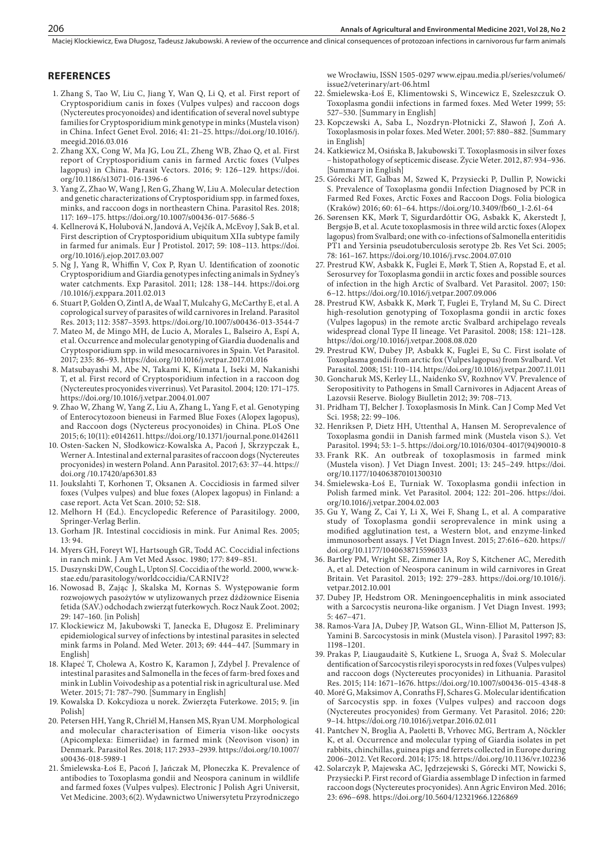#### **REFERENCES**

- 1. Zhang S, Tao W, Liu C, Jiang Y, Wan Q, Li Q, et al. First report of Cryptosporidium canis in foxes (Vulpes vulpes) and raccoon dogs (Nyctereutes procyonoides) and identification of several novel subtype families for Cryptosporidium mink genotype in minks (Mustela vison) in China. Infect Genet Evol. 2016; 41: 21–25. https://doi.org/10.1016/j. meegid.2016.03.016
- 2. Zhang XX, Cong W, Ma JG, Lou ZL, Zheng WB, Zhao Q, et al. First report of Cryptosporidium canis in farmed Arctic foxes (Vulpes lagopus) in China. Parasit Vectors. 2016; 9: 126–129. https://doi. org/10.1186/s13071-016-1396-6
- 3. Yang Z, Zhao W, Wang J, Ren G, Zhang W, Liu A. Molecular detection and genetic characterizations of Cryptosporidium spp. in farmed foxes, minks, and raccoon dogs in northeastern China. Parasitol Res. 2018; 117: 169–175. https://doi.org/10.1007/s00436-017-5686-5
- 4. Kellnerová K, Holubová N, Jandová A, Vejčík A, McEvoy J, Sak B, et al. First description of Cryptosporidium ubiquitum XIIa subtype family in farmed fur animals. Eur J Protistol. 2017; 59: 108–113. https://doi. org/10.1016/j.ejop.2017.03.007
- 5. Ng J, Yang R, Whiffin V, Cox P, Ryan U. Identification of zoonotic Cryptosporidium and Giardia genotypes infecting animals in Sydney's water catchments. Exp Parasitol. 2011; 128: 138–144. https://doi.org /10.1016/j.exppara.2011.02.013
- 6. Stuart P, Golden O, Zintl A, de Waal T, Mulcahy G, McCarthy E, et al. A coprological survey of parasites of wild carnivores in Ireland. Parasitol Res. 2013; 112: 3587–3593. https://doi.org/10.1007/s00436-013-3544-7
- 7. Mateo M, de Mingo MH, de Lucio A, Morales L, Balseiro A, Espí A, et al. Occurrence and molecular genotyping of Giardia duodenalis and Cryptosporidium spp. in wild mesocarnivores in Spain. Vet Parasitol. 2017; 235: 86–93. https://doi.org/10.1016/j.vetpar.2017.01.016
- 8. Matsubayashi M, Abe N, Takami K, Kimata I, Iseki M, Nakanishi T, et al. First record of Cryptosporidium infection in a raccoon dog (Nyctereutes procyonides viverrinus). Vet Parasitol. 2004; 120: 171–175. https://doi.org/10.1016/j.vetpar.2004.01.007
- 9. Zhao W, Zhang W, Yang Z, Liu A, Zhang L, Yang F, et al. Genotyping of Enterocytozoon bieneusi in Farmed Blue Foxes (Alopex lagopus), and Raccoon dogs (Nyctereus procyonoides) in China. PLoS One 2015; 6; 10(11): e0142611. https://doi.org/10.1371/journal.pone.0142611
- 10. Osten-Sacken N, Słodkowicz-Kowalska A, Pacoń J, Skrzypczak Ł, Werner A. Intestinal and external parasites of raccoon dogs (Nyctereutes procyonides) in western Poland. Ann Parasitol. 2017; 63: 37–44. https:// doi.org /10.17420/ap6301.83
- 11. Joukslahti T, Korhonen T, Oksanen A. Coccidiosis in farmed silver foxes (Vulpes vulpes) and blue foxes (Alopex lagopus) in Finland: a case report. Acta Vet Scan. 2010; 52: S18.
- 12. Melhorn H (Ed.). Encyclopedic Reference of Parasitilogy. 2000, Springer-Verlag Berlin.
- 13. Gorham JR. Intestinal coccidiosis in mink. Fur Animal Res. 2005; 13: 94.
- 14. Myers GH, Foreyt WJ, Hartsough GR, Todd AC. Coccidial infections in ranch mink. J Am Vet Med Assoc. 1980; 177: 849–851.
- 15. Duszynski DW, Cough L, Upton SJ. Coccidia of the world. 2000, www.kstae.edu/parasitology/worldcoccidia/CARNIV2?
- 16. Nowosad B, Zając J, Skalska M, Kornas S. Występowanie form rozwojowych pasożytów w utylizowanych przez dżdżownice Eisenia fetida (SAV.) odchodach zwierząt futerkowych. Rocz Nauk Zoot. 2002; 29: 147–160. [in Polish]
- 17. Klockiewicz M, Jakubowski T, Janecka E, Długosz E. Preliminary epidemiological survey of infections by intestinal parasites in selected mink farms in Poland. Med Weter. 2013; 69: 444–447. [Summary in English]
- 18. Kłapeć T, Cholewa A, Kostro K, Karamon J, Zdybel J. Prevalence of intestinal parasites and Salmonella in the feces of farm-bred foxes and mink in Lublin Voivodeship as a potential risk in agricultural use. Med Weter. 2015; 71: 787–790. [Summary in English]
- 19. Kowalska D. Kokcydioza u norek. Zwierzęta Futerkowe. 2015; 9. [in Polish]
- 20. Petersen HH, Yang R, Chriél M, Hansen MS, Ryan UM. Morphological and molecular characterisation of Eimeria vison-like oocysts (Apicomplexa: Eimeriidae) in farmed mink (Neovison vison) in Denmark. Parasitol Res. 2018; 117: 2933–2939. https://doi.org/10.1007/ s00436-018-5989-1
- 21. Śmielewska-Łoś E, Pacoń J, Jańczak M, Płoneczka K. Prevalence of antibodies to Toxoplasma gondii and Neospora caninum in wildlife and farmed foxes (Vulpes vulpes). Electronic J Polish Agri Universit, Vet Medicine. 2003; 6(2). Wydawnictwo Uniwersytetu Przyrodniczego

we Wrocławiu, ISSN 1505-0297 www.ejpau.media.pl/series/volume6/ issue2/veterinary/art-06.html

- 22. Śmielewska-Łoś E, Klimentowski S, Wincewicz E, Szeleszczuk O. Toxoplasma gondii infections in farmed foxes. Med Weter 1999; 55: 527–530. [Summary in English]
- 23. Kopczewski A, Saba L, Nozdryn-Płotnicki Z, Sławoń J, Zoń A. Toxoplasmosis in polar foxes. Med Weter. 2001; 57: 880–882. [Summary in English]
- 24. Katkiewicz M, Osińska B, Jakubowski T. Toxoplasmosis in silver foxes – histopathology of septicemic disease. Życie Weter. 2012, 87: 934–936. [Summary in English]
- 25. Górecki MT, Galbas M, Szwed K, Przysiecki P, Dullin P, Nowicki S. Prevalence of Toxoplasma gondii Infection Diagnosed by PCR in Farmed Red Foxes, Arctic Foxes and Raccoon Dogs. Folia biologica (Kraków) 2016; 60: 61–64. https://doi.org/10.3409/fb60\_1-2.61-64
- 26. Sørensen KK, Mørk T, Sigurdardóttir OG, Asbakk K, Akerstedt J, Bergsjø B, et al. Acute toxoplasmosis in three wild arctic foxes (Alopex lagopus) from Svalbard; one with co-infections of Salmonella enteritidis PT1 and Yersinia pseudotuberculosis serotype 2b. Res Vet Sci. 2005; 78: 161–167. https://doi.org/10.1016/j.rvsc.2004.07.010
- 27. Prestrud KW, Asbakk K, Fuglei E, Mørk T, Stien A, Ropstad E, et al. Serosurvey for Toxoplasma gondii in arctic foxes and possible sources of infection in the high Arctic of Svalbard. Vet Parasitol. 2007; 150: 6–12. https://doi.org/10.1016/j.vetpar.2007.09.006
- 28. Prestrud KW, Asbakk K, Mørk T, Fuglei E, Tryland M, Su C. Direct high-resolution genotyping of Toxoplasma gondii in arctic foxes (Vulpes lagopus) in the remote arctic Svalbard archipelago reveals widespread clonal Type II lineage. Vet Parasitol. 2008; 158: 121–128. https://doi.org/10.1016/j.vetpar.2008.08.020
- 29. Prestrud KW, Dubey JP, Asbakk K, Fuglei E, Su C. First isolate of Toxoplasma gondii from arctic fox (Vulpes lagopus) from Svalbard. Vet Parasitol. 2008; 151: 110–114. https://doi.org/10.1016/j.vetpar.2007.11.011
- 30. Goncharuk MS, Kerley LL, Naidenko SV, Rozhnov VV. Prevalence of Seropositivity to Pathogens in Small Carnivores in Adjacent Areas of Lazovsii Reserve. Biology Biulletin 2012; 39: 708–713.
- 31. Pridham TJ, Belcher J. Toxoplasmosis In Mink. Can J Comp Med Vet Sci. 1958; 22: 99–106.
- 32. Henriksen P, Dietz HH, Uttenthal A, Hansen M. Seroprevalence of Toxoplasma gondii in Danish farmed mink (Mustela vison S.). Vet Parasitol. 1994; 53: 1–5. https://doi.org/10.1016/0304-4017(94)90010-8
- 33. Frank RK. An outbreak of toxoplasmosis in farmed mink (Mustela vison). J Vet Diagn Invest. 2001; 13: 245–249. https://doi. org/10.1177/104063870101300310
- 34. Śmielewska-Łoś E, Turniak W. Toxoplasma gondii infection in Polish farmed mink. Vet Parasitol. 2004; 122: 201–206. https://doi. org/10.1016/j.vetpar.2004.02.003
- 35. Gu Y, Wang Z, Cai Y, Li X, Wei F, Shang L, et al. A comparative study of Toxoplasma gondii seroprevalence in mink using a modified agglutination test, a Western blot, and enzyme-linked immunosorbent assays. J Vet Diagn Invest. 2015; 27:616–620. https:// doi.org/10.1177/1040638715596033
- 36. Bartley PM, Wright SE, Zimmer IA, Roy S, Kitchener AC, Meredith A, et al. Detection of Neospora caninum in wild carnivores in Great Britain. Vet Parasitol. 2013; 192: 279–283. https://doi.org/10.1016/j. vetpar.2012.10.001
- 37. Dubey JP, Hedstrom OR. Meningoencephalitis in mink associated with a Sarcocystis neurona-like organism. J Vet Diagn Invest. 1993; 5: 467–471.
- 38. Ramos-Vara JA, Dubey JP, Watson GL, Winn-Elliot M, Patterson JS, Yamini B. Sarcocystosis in mink (Mustela vison). J Parasitol 1997; 83: 1198–1201.
- 39. Prakas P, Liaugaudaitè S, Kutkiene L, Sruoga A, Švaž S. Molecular dentification of Sarcocystis rileyi sporocysts in red foxes (Vulpes vulpes) and raccoon dogs (Nyctereutes procyonides) in Lithuania. Parasitol Res. 2015; 114: 1671–1676. https://doi.org/10.1007/s00436-015-4348-8
- 40. Moré G, Maksimov A, Conraths FJ, Schares G. Molecular identification of Sarcocystis spp. in foxes (Vulpes vulpes) and raccoon dogs (Nyctereutes procyonides) from Germany. Vet Parasitol. 2016; 220: 9–14. https://doi.org /10.1016/j.vetpar.2016.02.011
- 41. Pantchev N, Broglia A, Paoletti B, Vrhovec MG, Bertram A, Nöckler K, et al. Occurrence and molecular typing of Giardia isolates in pet rabbits, chinchillas, guinea pigs and ferrets collected in Europe during 2006–2012. Vet Record. 2014; 175: 18. https://doi.org/10.1136/vr.102236
- 42. Solarczyk P, Majewska AC, Jędrzejewski S, Górecki MT, Nowicki S, Przysiecki P. First record of Giardia assemblage D infection in farmed raccoon dogs (Nyctereutes procyonides). Ann Agric Environ Med. 2016; 23: 696–698. https://doi.org/10.5604/12321966.1226869